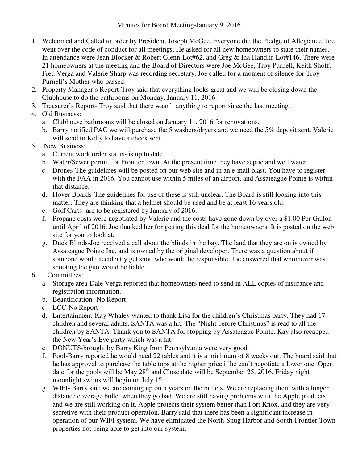- 1. Welcomed and Called to order by President, Joseph McGee. Everyone did the Pledge of Allegiance. Joe went over the code of conduct for all meetings. He asked for all new homeowners to state their names. In attendance were Jean Blocker & Robert Glenn-Lot#62, and Greg & Ina Handlir-Lot#146. There were 21 homeowners at the meeting and the Board of Directors were Joe McGee, Troy Purnell, Keith Shoff, Fred Verga and Valerie Sharp was recording secretary. Joe called for a moment of silence for Troy Purnell's Mother who passed.
- 2. Property Manager's Report-Troy said that everything looks great and we will be closing down the Clubhouse to do the bathrooms on Monday, January 11, 2016.
- 3. Treasurer's Report- Troy said that there wasn't anything to report since the last meeting.
- 4. Old Business:
	- a. Clubhouse bathrooms will be closed on January 11, 2016 for renovations.
	- b. Barry notified PAC we will purchase the 5 washers/dryers and we need the 5% deposit sent. Valerie will send to Kelly to have a check sent.
- 5. New Business:
	- a. Current work order status- is up to date
	- b. Water/Sewer permit for Frontier town. At the present time they have septic and well water.
	- c. Drones-The guidelines will be posted on our web site and in an e-mail blast. You have to register with the FAA in 2016. You cannot use within 5 miles of an airport, and Assateague Pointe is within that distance.
	- d. Hover Boards-The guidelines for use of these is still unclear. The Board is still looking into this matter. They are thinking that a helmet should be used and be at least 16 years old.
	- e. Golf Carts- are to be registered by January of 2016.
	- f. Propane costs were negotiated by Valerie and the costs have gone down by over a \$1.00 Per Gallon until April of 2016. Joe thanked her for getting this deal for the homeowners. It is posted on the web site for you to look at.
	- g. Duck Blinds-Joe received a call about the blinds in the bay. The land that they are on is owned by Assateague Pointe Inc. and is owned by the original developer. There was a question about if someone would accidently get shot, who would be responsible. Joe answered that whomever was shooting the gun would be liable.
- 6. Committees:
	- a. Storage area-Dale Verga reported that homeowners need to send in ALL copies of insurance and registration information.
	- b. Beautification- No Report
	- c. ECC-No Report
	- d. Entertainment-Kay Whaley wanted to thank Lisa for the children's Christmas party. They had 17 children and several adults. SANTA was a hit. The "Night before Christmas" is read to all the children by SANTA. Thank you to SANTA for stopping by Assateague Pointe. Kay also recapped the New Year's Eve party which was a hit.
	- e. DONUTS-brought by Barry King from Pennsylvania were very good.
	- f. Pool-Barry reported he would need 22 tables and it is a minimum of 8 weeks out. The board said that he has approval to purchase the table tops at the higher price if he can't negotiate a lower one. Open date for the pools will be May  $28<sup>th</sup>$  and Close date will be September 25, 2016. Friday night moonlight swims will begin on July 1<sup>st</sup>.
	- g. WIFI- Barry said we are coming up on 5 years on the bullets. We are replacing them with a longer distance coverage bullet when they go bad. We are still having problems with the Apple products and we are still working on it. Apple protects their system better than Fort Knox, and they are very secretive with their product operation. Barry said that there has been a significant increase in operation of our WIFI system. We have eliminated the North-Snug Harbor and South-Frontier Town properties not being able to get into our system.